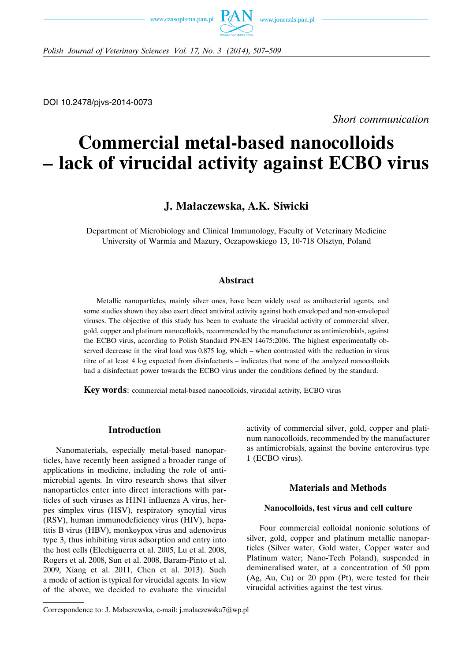



*Polish Journal of Veterinary Sciences Vol. 17, No. 3 (2014), 507–509*

DOI 10.2478/pjvs-2014-0073

*Short communication*

# **Commercial metal-based nanocolloids – lack of virucidal activity against ECBO virus**

# **J. Małaczewska, A.K. Siwicki**

Department of Microbiology and Clinical Immunology, Faculty of Veterinary Medicine University of Warmia and Mazury, Oczapowskiego 13, 10-718 Olsztyn, Poland

# **Abstract**

Metallic nanoparticles, mainly silver ones, have been widely used as antibacterial agents, and some studies shown they also exert direct antiviral activity against both enveloped and non-enveloped viruses. The objective of this study has been to evaluate the virucidal activity of commercial silver, gold, copper and platinum nanocolloids, recommended by the manufacturer as antimicrobials, against the ECBO virus, according to Polish Standard PN-EN 14675:2006. The highest experimentally observed decrease in the viral load was 0.875 log, which – when contrasted with the reduction in virus titre of at least 4 log expected from disinfectants – indicates that none of the analyzed nanocolloids had a disinfectant power towards the ECBO virus under the conditions defined by the standard.

**Key words**: commercial metal-based nanocolloids, virucidal activity, ECBO virus

### **Introduction**

Nanomaterials, especially metal-based nanoparticles, have recently been assigned a broader range of applications in medicine, including the role of antimicrobial agents. In vitro research shows that silver nanoparticles enter into direct interactions with particles of such viruses as H1N1 influenza A virus, herpes simplex virus (HSV), respiratory syncytial virus (RSV), human immunodeficiency virus (HIV), hepatitis B virus (HBV), monkeypox virus and adenovirus type 3, thus inhibiting virus adsorption and entry into the host cells (Elechiguerra et al. 2005, Lu et al. 2008, Rogers et al. 2008, Sun et al. 2008, Baram-Pinto et al. 2009, Xiang et al. 2011, Chen et al. 2013). Such a mode of action is typical for virucidal agents. In view of the above, we decided to evaluate the virucidal

Correspondence to: J. Małaczewska, e-mail: j.malaczewska7@wp.pl

activity of commercial silver, gold, copper and platinum nanocolloids, recommended by the manufacturer as antimicrobials, against the bovine enterovirus type 1 (ECBO virus).

# **Materials and Methods**

## **Nanocolloids, test virus and cell culture**

Four commercial colloidal nonionic solutions of silver, gold, copper and platinum metallic nanoparticles (Silver water, Gold water, Copper water and Platinum water; Nano-Tech Poland), suspended in demineralised water, at a concentration of 50 ppm (Ag, Au, Cu) or 20 ppm (Pt), were tested for their virucidal activities against the test virus.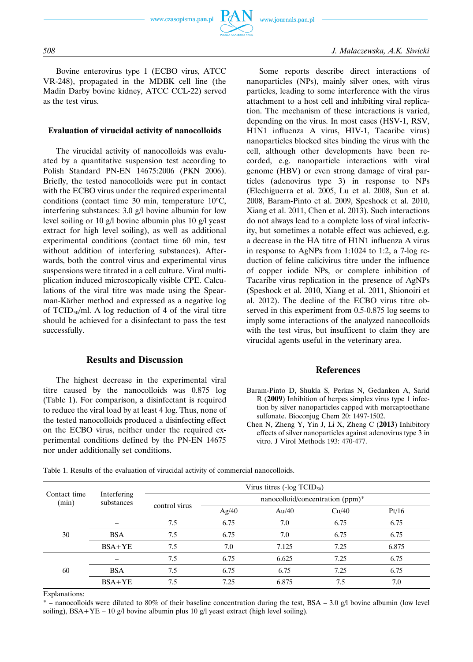

Bovine enterovirus type 1 (ECBO virus, ATCC VR-248), propagated in the MDBK cell line (the Madin Darby bovine kidney, ATCC CCL-22) served as the test virus.

#### **Evaluation of virucidal activity of nanocolloids**

The virucidal activity of nanocolloids was evaluated by a quantitative suspension test according to Polish Standard PN-EN 14675:2006 (PKN 2006). Briefly, the tested nanocolloids were put in contact with the ECBO virus under the required experimental conditions (contact time 30 min, temperature  $10^{\circ}$ C, interfering substances: 3.0 g/l bovine albumin for low level soiling or 10 g/l bovine albumin plus 10 g/l yeast extract for high level soiling), as well as additional experimental conditions (contact time 60 min, test without addition of interfering substances). Afterwards, both the control virus and experimental virus suspensions were titrated in a cell culture. Viral multiplication induced microscopically visible CPE. Calculations of the viral titre was made using the Spearman-Kärber method and expressed as a negative log of  $TCID_{50}/ml$ . A log reduction of 4 of the viral titre should be achieved for a disinfectant to pass the test successfully.

### **Results and Discussion**

The highest decrease in the experimental viral titre caused by the nanocolloids was 0.875 log (Table 1). For comparison, a disinfectant is required to reduce the viral load by at least 4 log. Thus, none of the tested nanocolloids produced a disinfecting effect on the ECBO virus, neither under the required experimental conditions defined by the PN-EN 14675 nor under additionally set conditions.

Some reports describe direct interactions of nanoparticles (NPs), mainly silver ones, with virus particles, leading to some interference with the virus attachment to a host cell and inhibiting viral replication. The mechanism of these interactions is varied, depending on the virus. In most cases (HSV-1, RSV, H1N1 influenza A virus, HIV-1, Tacaribe virus) nanoparticles blocked sites binding the virus with the cell, although other developments have been recorded, e.g. nanoparticle interactions with viral genome (HBV) or even strong damage of viral particles (adenovirus type 3) in response to NPs (Elechiguerra et al. 2005, Lu et al. 2008, Sun et al. 2008, Baram-Pinto et al. 2009, Speshock et al. 2010, Xiang et al. 2011, Chen et al. 2013). Such interactions do not always lead to a complete loss of viral infectivity, but sometimes a notable effect was achieved, e.g. a decrease in the HA titre of H1N1 influenza A virus in response to AgNPs from 1:1024 to 1:2, a 7-log reduction of feline calicivirus titre under the influence of copper iodide NPs, or complete inhibition of Tacaribe virus replication in the presence of AgNPs (Speshock et al. 2010, Xiang et al. 2011, Shionoiri et al. 2012). The decline of the ECBO virus titre observed in this experiment from 0.5-0.875 log seems to imply some interactions of the analyzed nanocolloids with the test virus, but insufficent to claim they are virucidal agents useful in the veterinary area.

#### **References**

- Baram-Pinto D, Shukla S, Perkas N, Gedanken A, Sarid R (**2009**) Inhibition of herpes simplex virus type 1 infection by silver nanoparticles capped with mercaptoethane sulfonate. Bioconjug Chem 20: 1497-1502.
- Chen N, Zheng Y, Yin J, Li X, Zheng C (**2013**) Inhibitory effects of silver nanoparticles against adenovirus type 3 in vitro. J Virol Methods 193: 470-477.

Table 1. Results of the evaluation of virucidal activity of commercial nanocolloids.

| Contact time<br>(min) | Interfering<br>substances | Virus titres $(-\log TCID_{50})$ |                                  |       |       |       |
|-----------------------|---------------------------|----------------------------------|----------------------------------|-------|-------|-------|
|                       |                           | control virus                    | nanocolloid/concentration (ppm)* |       |       |       |
|                       |                           |                                  | Ag/40                            | Au/40 | Cu/40 | Pt/16 |
| 30                    |                           | 7.5                              | 6.75                             | 7.0   | 6.75  | 6.75  |
|                       | <b>BSA</b>                | 7.5                              | 6.75                             | 7.0   | 6.75  | 6.75  |
|                       | $BSA+YE$                  | 7.5                              | 7.0                              | 7.125 | 7.25  | 6.875 |
| 60                    |                           | 7.5                              | 6.75                             | 6.625 | 7.25  | 6.75  |
|                       | <b>BSA</b>                | 7.5                              | 6.75                             | 6.75  | 7.25  | 6.75  |
|                       | $BSA+YE$                  | 7.5                              | 7.25                             | 6.875 | 7.5   | 7.0   |

Explanations:

 $*$  – nanocolloids were diluted to 80% of their baseline concentration during the test, BSA – 3.0 g/l bovine albumin (low level soiling),  $BSA+YE - 10$  g/l bovine albumin plus 10 g/l yeast extract (high level soiling).